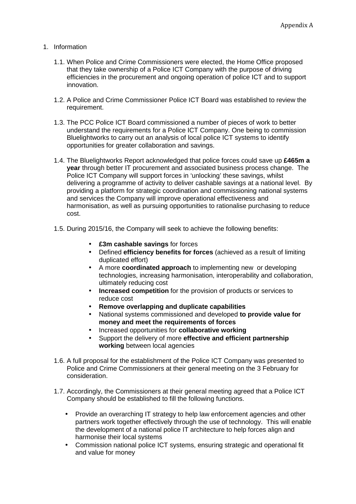## 1. Information

- 1.1. When Police and Crime Commissioners were elected, the Home Office proposed that they take ownership of a Police ICT Company with the purpose of driving efficiencies in the procurement and ongoing operation of police ICT and to support innovation.
- 1.2. A Police and Crime Commissioner Police ICT Board was established to review the requirement.
- 1.3. The PCC Police ICT Board commissioned a number of pieces of work to better understand the requirements for a Police ICT Company. One being to commission Bluelightworks to carry out an analysis of local police ICT systems to identify opportunities for greater collaboration and savings.
- 1.4. The Bluelightworks Report acknowledged that police forces could save up **£465m a year** through better IT procurement and associated business process change. The Police ICT Company will support forces in 'unlocking' these savings, whilst delivering a programme of activity to deliver cashable savings at a national level. By providing a platform for strategic coordination and commissioning national systems and services the Company will improve operational effectiveness and harmonisation, as well as pursuing opportunities to rationalise purchasing to reduce cost.
- 1.5. During 2015/16, the Company will seek to achieve the following benefits:
	- **£3m cashable savings** for forces
	- Defined **efficiency benefits for forces** (achieved as a result of limiting duplicated effort)
	- A more **coordinated approach** to implementing new or developing technologies, increasing harmonisation, interoperability and collaboration, ultimately reducing cost
	- **Increased competition** for the provision of products or services to reduce cost
	- **Remove overlapping and duplicate capabilities**
	- National systems commissioned and developed **to provide value for money and meet the requirements of forces**
	- Increased opportunities for **collaborative working**
	- Support the delivery of more **effective and efficient partnership working** between local agencies
- 1.6. A full proposal for the establishment of the Police ICT Company was presented to Police and Crime Commissioners at their general meeting on the 3 February for consideration.
- 1.7. Accordingly, the Commissioners at their general meeting agreed that a Police ICT Company should be established to fill the following functions.
	- Provide an overarching IT strategy to help law enforcement agencies and other partners work together effectively through the use of technology. This will enable the development of a national police IT architecture to help forces align and harmonise their local systems
	- Commission national police ICT systems, ensuring strategic and operational fit and value for money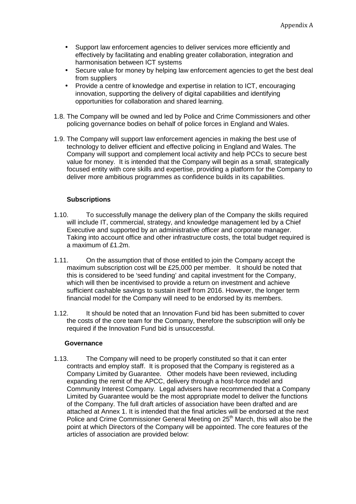- Support law enforcement agencies to deliver services more efficiently and effectively by facilitating and enabling greater collaboration, integration and harmonisation between ICT systems
- Secure value for money by helping law enforcement agencies to get the best deal from suppliers
- Provide a centre of knowledge and expertise in relation to ICT, encouraging innovation, supporting the delivery of digital capabilities and identifying opportunities for collaboration and shared learning.
- 1.8. The Company will be owned and led by Police and Crime Commissioners and other policing governance bodies on behalf of police forces in England and Wales.
- 1.9. The Company will support law enforcement agencies in making the best use of technology to deliver efficient and effective policing in England and Wales. The Company will support and complement local activity and help PCCs to secure best value for money. It is intended that the Company will begin as a small, strategically focused entity with core skills and expertise, providing a platform for the Company to deliver more ambitious programmes as confidence builds in its capabilities.

## **Subscriptions**

- 1.10. To successfully manage the delivery plan of the Company the skills required will include IT, commercial, strategy, and knowledge management led by a Chief Executive and supported by an administrative officer and corporate manager. Taking into account office and other infrastructure costs, the total budget required is a maximum of £1.2m.
- 1.11. On the assumption that of those entitled to join the Company accept the maximum subscription cost will be £25,000 per member. It should be noted that this is considered to be 'seed funding' and capital investment for the Company, which will then be incentivised to provide a return on investment and achieve sufficient cashable savings to sustain itself from 2016. However, the longer term financial model for the Company will need to be endorsed by its members.
- 1.12. It should be noted that an Innovation Fund bid has been submitted to cover the costs of the core team for the Company, therefore the subscription will only be required if the Innovation Fund bid is unsuccessful.

## **Governance**

1.13. The Company will need to be properly constituted so that it can enter contracts and employ staff. It is proposed that the Company is registered as a Company Limited by Guarantee. Other models have been reviewed, including expanding the remit of the APCC, delivery through a host-force model and Community Interest Company. Legal advisers have recommended that a Company Limited by Guarantee would be the most appropriate model to deliver the functions of the Company. The full draft articles of association have been drafted and are attached at Annex 1. It is intended that the final articles will be endorsed at the next Police and Crime Commissioner General Meeting on 25<sup>th</sup> March, this will also be the point at which Directors of the Company will be appointed. The core features of the articles of association are provided below: